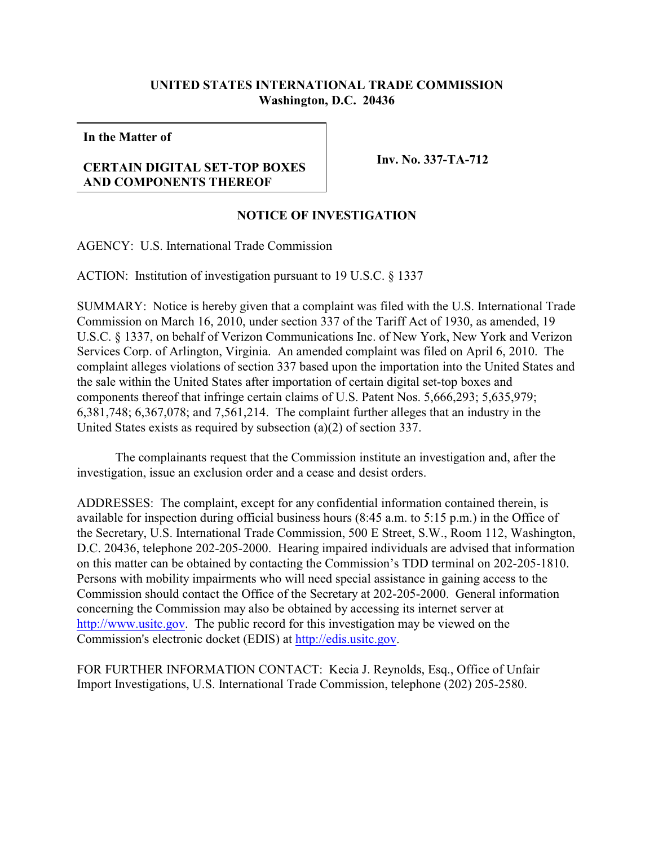## **UNITED STATES INTERNATIONAL TRADE COMMISSION Washington, D.C. 20436**

**In the Matter of**

## **CERTAIN DIGITAL SET-TOP BOXES AND COMPONENTS THEREOF**

**Inv. No. 337-TA-712**

## **NOTICE OF INVESTIGATION**

AGENCY: U.S. International Trade Commission

ACTION: Institution of investigation pursuant to 19 U.S.C. § 1337

SUMMARY: Notice is hereby given that a complaint was filed with the U.S. International Trade Commission on March 16, 2010, under section 337 of the Tariff Act of 1930, as amended, 19 U.S.C. § 1337, on behalf of Verizon Communications Inc. of New York, New York and Verizon Services Corp. of Arlington, Virginia. An amended complaint was filed on April 6, 2010. The complaint alleges violations of section 337 based upon the importation into the United States and the sale within the United States after importation of certain digital set-top boxes and components thereof that infringe certain claims of U.S. Patent Nos. 5,666,293; 5,635,979; 6,381,748; 6,367,078; and 7,561,214. The complaint further alleges that an industry in the United States exists as required by subsection (a)(2) of section 337.

The complainants request that the Commission institute an investigation and, after the investigation, issue an exclusion order and a cease and desist orders.

ADDRESSES: The complaint, except for any confidential information contained therein, is available for inspection during official business hours (8:45 a.m. to 5:15 p.m.) in the Office of the Secretary, U.S. International Trade Commission, 500 E Street, S.W., Room 112, Washington, D.C. 20436, telephone 202-205-2000. Hearing impaired individuals are advised that information on this matter can be obtained by contacting the Commission's TDD terminal on 202-205-1810. Persons with mobility impairments who will need special assistance in gaining access to the Commission should contact the Office of the Secretary at 202-205-2000. General information concerning the Commission may also be obtained by accessing its internet server at <http://www.usitc.gov>. The public record for this investigation may be viewed on the Commission's electronic docket (EDIS) at<http://edis.usitc.gov>.

FOR FURTHER INFORMATION CONTACT: Kecia J. Reynolds, Esq., Office of Unfair Import Investigations, U.S. International Trade Commission, telephone (202) 205-2580.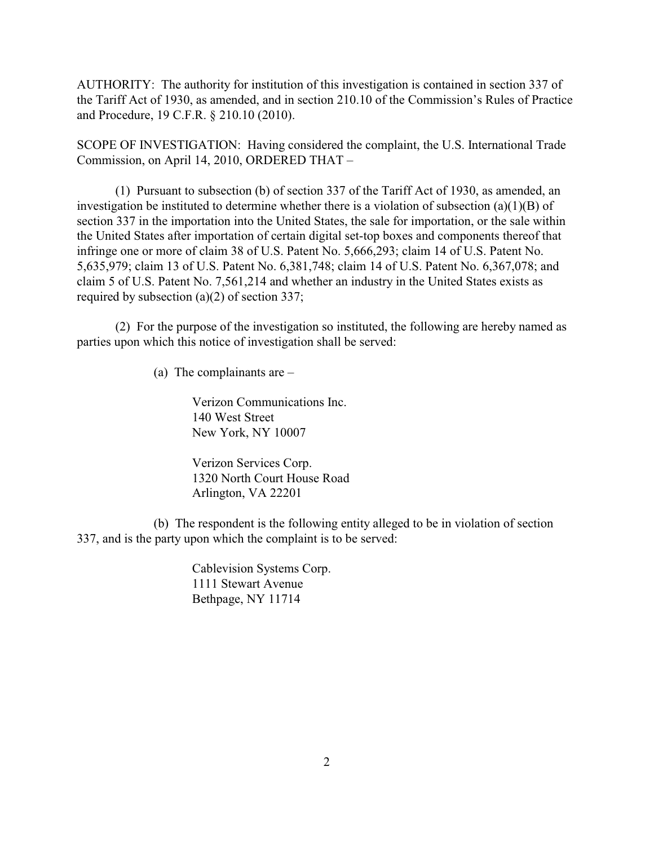AUTHORITY: The authority for institution of this investigation is contained in section 337 of the Tariff Act of 1930, as amended, and in section 210.10 of the Commission's Rules of Practice and Procedure, 19 C.F.R. § 210.10 (2010).

SCOPE OF INVESTIGATION: Having considered the complaint, the U.S. International Trade Commission, on April 14, 2010, ORDERED THAT –

(1) Pursuant to subsection (b) of section 337 of the Tariff Act of 1930, as amended, an investigation be instituted to determine whether there is a violation of subsection (a)(1)(B) of section 337 in the importation into the United States, the sale for importation, or the sale within the United States after importation of certain digital set-top boxes and components thereof that infringe one or more of claim 38 of U.S. Patent No. 5,666,293; claim 14 of U.S. Patent No. 5,635,979; claim 13 of U.S. Patent No. 6,381,748; claim 14 of U.S. Patent No. 6,367,078; and claim 5 of U.S. Patent No. 7,561,214 and whether an industry in the United States exists as required by subsection (a)(2) of section 337;

(2) For the purpose of the investigation so instituted, the following are hereby named as parties upon which this notice of investigation shall be served:

(a) The complainants are –

Verizon Communications Inc. 140 West Street New York, NY 10007

Verizon Services Corp. 1320 North Court House Road Arlington, VA 22201

(b) The respondent is the following entity alleged to be in violation of section 337, and is the party upon which the complaint is to be served:

> Cablevision Systems Corp. 1111 Stewart Avenue Bethpage, NY 11714